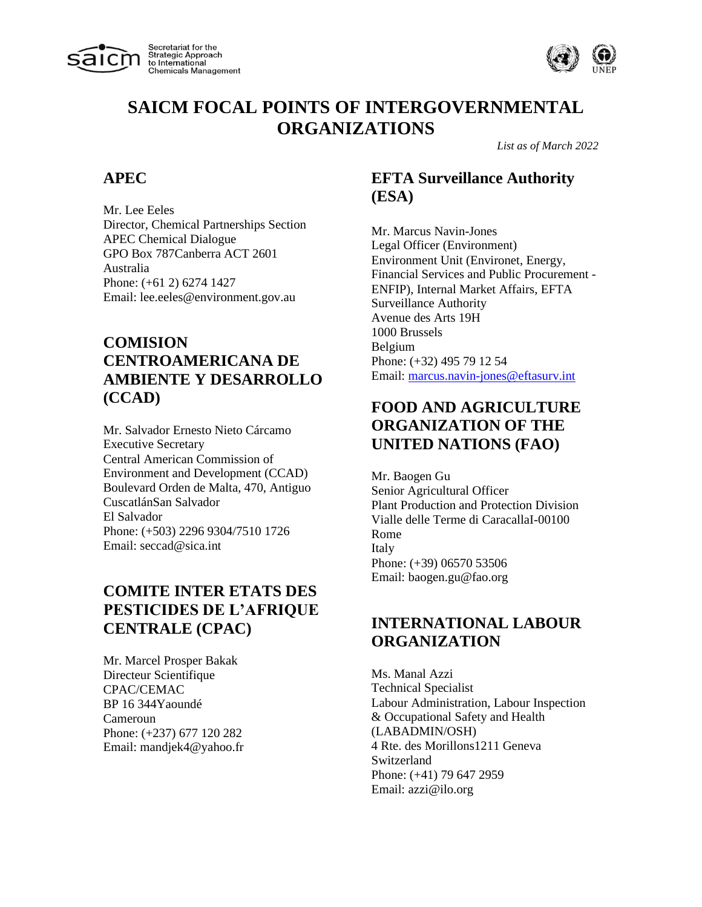



*List as of March 2022*

#### **APEC**

Mr. Lee Eeles Director, Chemical Partnerships Section APEC Chemical Dialogue GPO Box 787Canberra ACT 2601 Australia Phone: (+61 2) 6274 1427 Email: lee.eeles@environment.gov.au

# **COMISION CENTROAMERICANA DE AMBIENTE Y DESARROLLO (CCAD)**

Mr. Salvador Ernesto Nieto Cárcamo Executive Secretary Central American Commission of Environment and Development (CCAD) Boulevard Orden de Malta, 470, Antiguo CuscatlánSan Salvador El Salvador Phone: (+503) 2296 9304/7510 1726 Email: seccad@sica.int

# **COMITE INTER ETATS DES PESTICIDES DE L'AFRIQUE CENTRALE (CPAC)**

Mr. Marcel Prosper Bakak Directeur Scientifique CPAC/CEMAC BP 16 344Yaoundé Cameroun Phone: (+237) 677 120 282 Email: mandjek4@yahoo.fr

# **EFTA Surveillance Authority (ESA)**

Mr. Marcus Navin-Jones Legal Officer (Environment) Environment Unit (Environet, Energy, Financial Services and Public Procurement - ENFIP), Internal Market Affairs, EFTA Surveillance Authority Avenue des Arts 19H 1000 Brussels Belgium Phone: (+32) 495 79 12 54 Email: [marcus.navin-jones@eftasurv.int](mailto:marcus.navin-jones@eftasurv.int)

# **FOOD AND AGRICULTURE ORGANIZATION OF THE UNITED NATIONS (FAO)**

Mr. Baogen Gu Senior Agricultural Officer Plant Production and Protection Division Vialle delle Terme di CaracallaI-00100 Rome Italy Phone: (+39) 06570 53506 Email: baogen.gu@fao.org

#### **INTERNATIONAL LABOUR ORGANIZATION**

Ms. Manal Azzi Technical Specialist Labour Administration, Labour Inspection & Occupational Safety and Health (LABADMIN/OSH) 4 Rte. des Morillons1211 Geneva Switzerland Phone: (+41) 79 647 2959 Email: azzi@ilo.org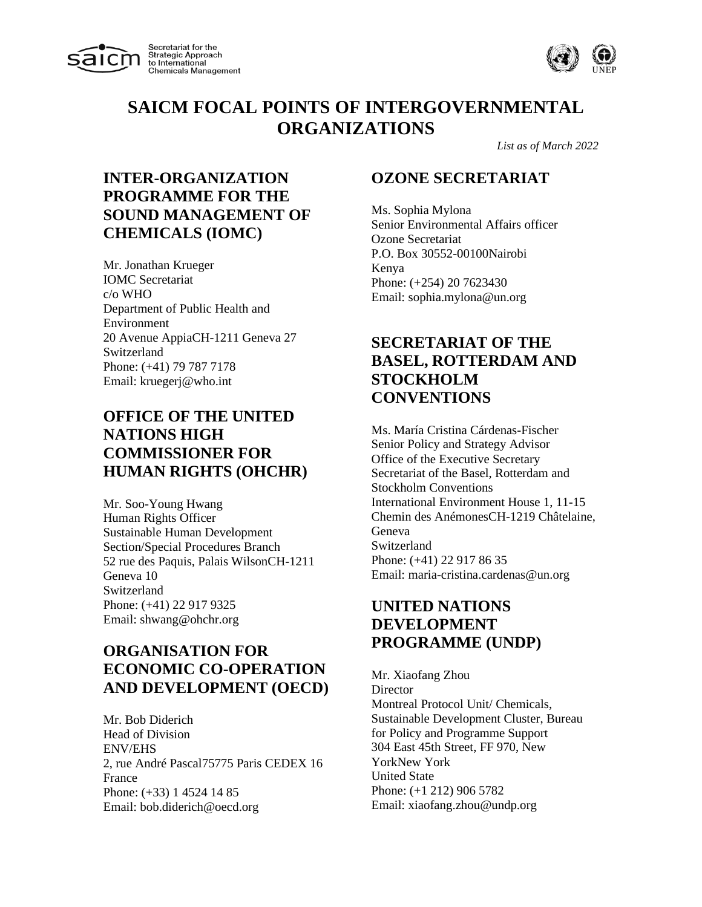



*List as of March 2022*

# **INTER-ORGANIZATION PROGRAMME FOR THE SOUND MANAGEMENT OF CHEMICALS (IOMC)**

Mr. Jonathan Krueger IOMC Secretariat c/o WHO Department of Public Health and Environment 20 Avenue AppiaCH-1211 Geneva 27 Switzerland Phone: (+41) 79 787 7178 Email: kruegerj@who.int

# **OFFICE OF THE UNITED NATIONS HIGH COMMISSIONER FOR HUMAN RIGHTS (OHCHR)**

Mr. Soo-Young Hwang Human Rights Officer Sustainable Human Development Section/Special Procedures Branch 52 rue des Paquis, Palais WilsonCH-1211 Geneva 10 Switzerland Phone: (+41) 22 917 9325 Email: shwang@ohchr.org

# **ORGANISATION FOR ECONOMIC CO-OPERATION AND DEVELOPMENT (OECD)**

Mr. Bob Diderich Head of Division ENV/EHS 2, rue André Pascal75775 Paris CEDEX 16 France Phone: (+33) 1 4524 14 85 Email: bob.diderich@oecd.org

#### **OZONE SECRETARIAT**

Ms. Sophia Mylona Senior Environmental Affairs officer Ozone Secretariat P.O. Box 30552-00100Nairobi Kenya Phone: (+254) 20 7623430 Email: sophia.mylona@un.org

## **SECRETARIAT OF THE BASEL, ROTTERDAM AND STOCKHOLM CONVENTIONS**

Ms. María Cristina Cárdenas-Fischer Senior Policy and Strategy Advisor Office of the Executive Secretary Secretariat of the Basel, Rotterdam and Stockholm Conventions International Environment House 1, 11-15 Chemin des AnémonesCH-1219 Châtelaine, Geneva Switzerland Phone: (+41) 22 917 86 35 Email: maria-cristina.cardenas@un.org

### **UNITED NATIONS DEVELOPMENT PROGRAMME (UNDP)**

Mr. Xiaofang Zhou **Director** Montreal Protocol Unit/ Chemicals, Sustainable Development Cluster, Bureau for Policy and Programme Support 304 East 45th Street, FF 970, New YorkNew York United State Phone: (+1 212) 906 5782 Email: xiaofang.zhou@undp.org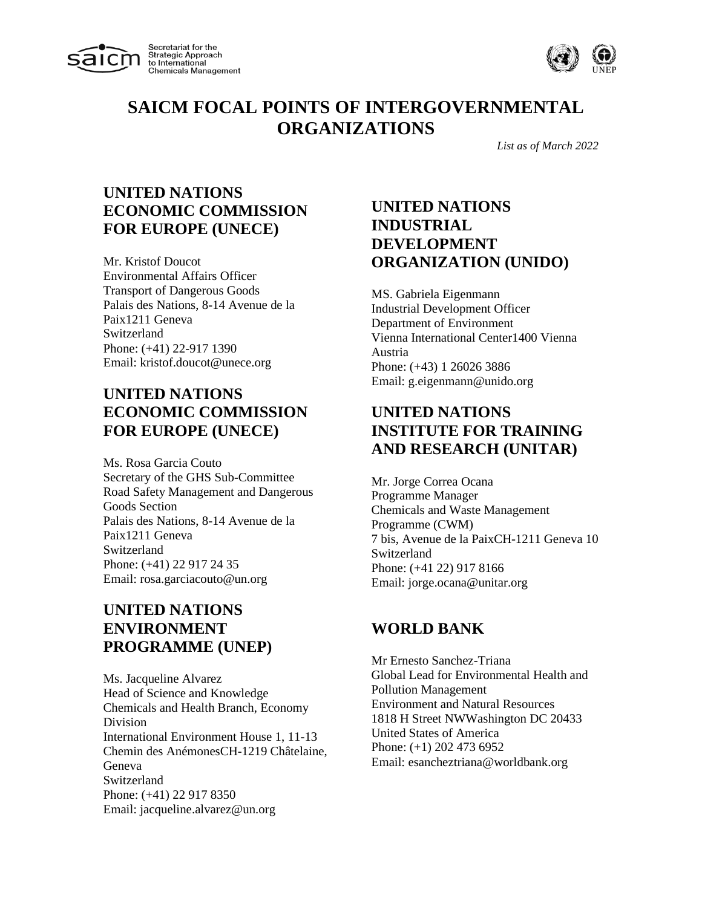



*List as of March 2022*

## **UNITED NATIONS ECONOMIC COMMISSION FOR EUROPE (UNECE)**

Mr. Kristof Doucot Environmental Affairs Officer Transport of Dangerous Goods Palais des Nations, 8-14 Avenue de la Paix1211 Geneva Switzerland Phone: (+41) 22-917 1390 Email: kristof.doucot@unece.org

### **UNITED NATIONS ECONOMIC COMMISSION FOR EUROPE (UNECE)**

Ms. Rosa Garcia Couto Secretary of the GHS Sub-Committee Road Safety Management and Dangerous Goods Section Palais des Nations, 8-14 Avenue de la Paix1211 Geneva Switzerland Phone: (+41) 22 917 24 35 Email: rosa.garciacouto@un.org

# **UNITED NATIONS ENVIRONMENT PROGRAMME (UNEP)**

Ms. Jacqueline Alvarez Head of Science and Knowledge Chemicals and Health Branch, Economy Division International Environment House 1, 11-13 Chemin des AnémonesCH-1219 Châtelaine, Geneva Switzerland Phone: (+41) 22 917 8350 Email: jacqueline.alvarez@un.org

# **UNITED NATIONS INDUSTRIAL DEVELOPMENT ORGANIZATION (UNIDO)**

MS. Gabriela Eigenmann Industrial Development Officer Department of Environment Vienna International Center1400 Vienna Austria Phone: (+43) 1 26026 3886 Email: g.eigenmann@unido.org

# **UNITED NATIONS INSTITUTE FOR TRAINING AND RESEARCH (UNITAR)**

Mr. Jorge Correa Ocana Programme Manager Chemicals and Waste Management Programme (CWM) 7 bis, Avenue de la PaixCH-1211 Geneva 10 Switzerland Phone: (+41 22) 917 8166 Email: jorge.ocana@unitar.org

# **WORLD BANK**

Mr Ernesto Sanchez-Triana Global Lead for Environmental Health and Pollution Management Environment and Natural Resources 1818 H Street NWWashington DC 20433 United States of America Phone: (+1) 202 473 6952 Email: esancheztriana@worldbank.org